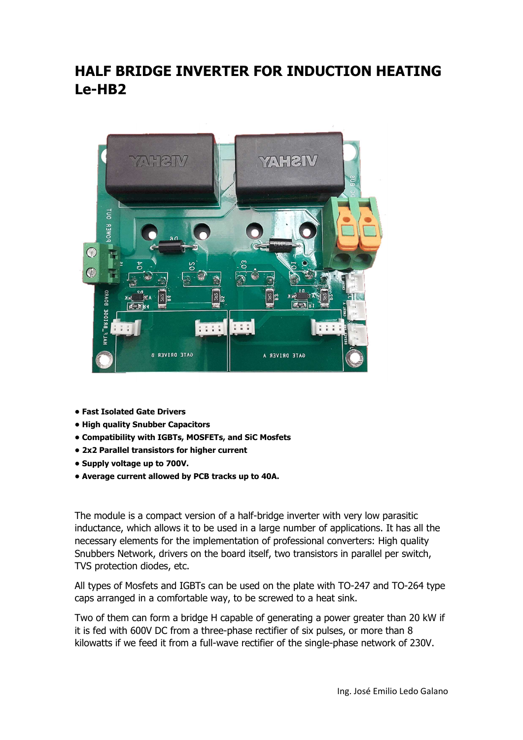## HALF BRIDGE INVERTER FOR INDUCTION HEATING Le-HB2



- Fast Isolated Gate Drivers
- High quality Snubber Capacitors
- Compatibility with IGBTs, MOSFETs, and SiC Mosfets
- 2x2 Parallel transistors for higher current
- Supply voltage up to 700V.
- Average current allowed by PCB tracks up to 40A.

The module is a compact version of a half-bridge inverter with very low parasitic inductance, which allows it to be used in a large number of applications. It has all the necessary elements for the implementation of professional converters: High quality Snubbers Network, drivers on the board itself, two transistors in parallel per switch, TVS protection diodes, etc.

All types of Mosfets and IGBTs can be used on the plate with TO-247 and TO-264 type caps arranged in a comfortable way, to be screwed to a heat sink.

Two of them can form a bridge H capable of generating a power greater than 20 kW if it is fed with 600V DC from a three-phase rectifier of six pulses, or more than 8 kilowatts if we feed it from a full-wave rectifier of the single-phase network of 230V.